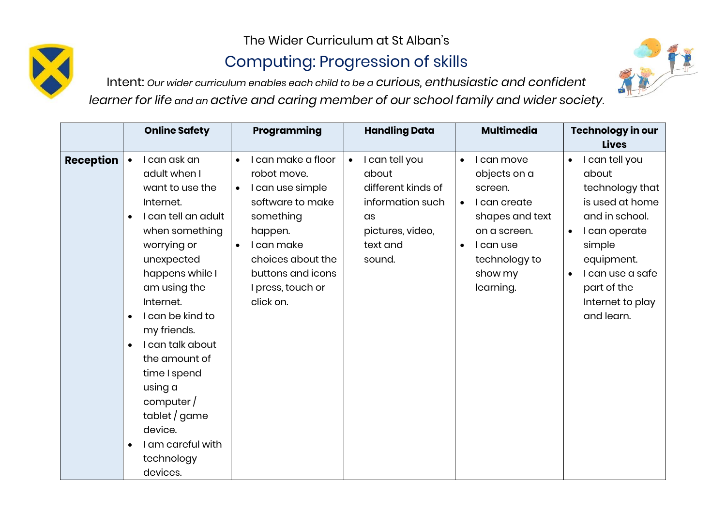The Wider Curriculum at St Alban's

## Computing: Progression of skills

Intent: *Our wider curriculum enables each child to be a curious, enthusiastic and confident learner for life and an active and caring member of our school family and wider society.*



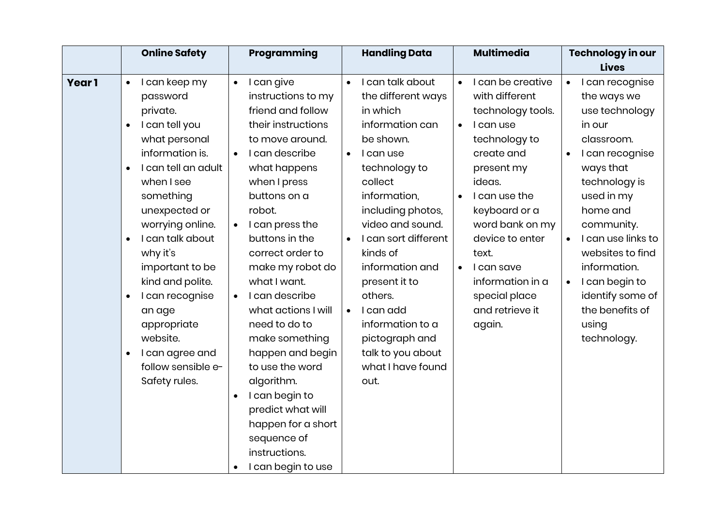|              |           | <b>Online Safety</b> |           | Programming         |           | <b>Handling Data</b> |           | <b>Multimedia</b> |           | Technology in our  |
|--------------|-----------|----------------------|-----------|---------------------|-----------|----------------------|-----------|-------------------|-----------|--------------------|
|              |           |                      |           |                     |           |                      |           |                   |           | <b>Lives</b>       |
| <b>Year1</b> | $\bullet$ | I can keep my        | $\bullet$ | I can give          | $\bullet$ | I can talk about     | $\bullet$ | I can be creative | $\bullet$ | I can recognise    |
|              |           | password             |           | instructions to my  |           | the different ways   |           | with different    |           | the ways we        |
|              |           | private.             |           | friend and follow   |           | in which             |           | technology tools. |           | use technology     |
|              | $\bullet$ | I can tell you       |           | their instructions  |           | information can      | $\bullet$ | I can use         |           | in our             |
|              |           | what personal        |           | to move around.     |           | be shown.            |           | technology to     |           | classroom.         |
|              |           | information is.      |           | I can describe      | $\bullet$ | I can use            |           | create and        |           | I can recognise    |
|              | $\bullet$ | I can tell an adult  |           | what happens        |           | technology to        |           | present my        |           | ways that          |
|              |           | when I see           |           | when I press        |           | collect              |           | ideas.            |           | technology is      |
|              |           | something            |           | buttons on a        |           | information,         | $\bullet$ | I can use the     |           | used in my         |
|              |           | unexpected or        |           | robot.              |           | including photos,    |           | keyboard or a     |           | home and           |
|              |           | worrying online.     | $\bullet$ | I can press the     |           | video and sound.     |           | word bank on my   |           | community.         |
|              | $\bullet$ | I can talk about     |           | buttons in the      | $\bullet$ | I can sort different |           | device to enter   |           | I can use links to |
|              |           | why it's             |           | correct order to    |           | kinds of             |           | text.             |           | websites to find   |
|              |           | important to be      |           | make my robot do    |           | information and      | $\bullet$ | I can save        |           | information.       |
|              |           | kind and polite.     |           | what I want.        |           | present it to        |           | information in a  | $\bullet$ | I can begin to     |
|              | $\bullet$ | I can recognise      |           | I can describe      |           | others.              |           | special place     |           | identify some of   |
|              |           | an age               |           | what actions I will | $\bullet$ | I can add            |           | and retrieve it   |           | the benefits of    |
|              |           | appropriate          |           | need to do to       |           | information to a     |           | again.            |           | using              |
|              |           | website.             |           | make something      |           | pictograph and       |           |                   |           | technology.        |
|              | $\bullet$ | I can agree and      |           | happen and begin    |           | talk to you about    |           |                   |           |                    |
|              |           | follow sensible e-   |           | to use the word     |           | what I have found    |           |                   |           |                    |
|              |           | Safety rules.        |           | algorithm.          |           | out.                 |           |                   |           |                    |
|              |           |                      | $\bullet$ | I can begin to      |           |                      |           |                   |           |                    |
|              |           |                      |           | predict what will   |           |                      |           |                   |           |                    |
|              |           |                      |           | happen for a short  |           |                      |           |                   |           |                    |
|              |           |                      |           | sequence of         |           |                      |           |                   |           |                    |
|              |           |                      |           | instructions.       |           |                      |           |                   |           |                    |
|              |           |                      |           | I can begin to use  |           |                      |           |                   |           |                    |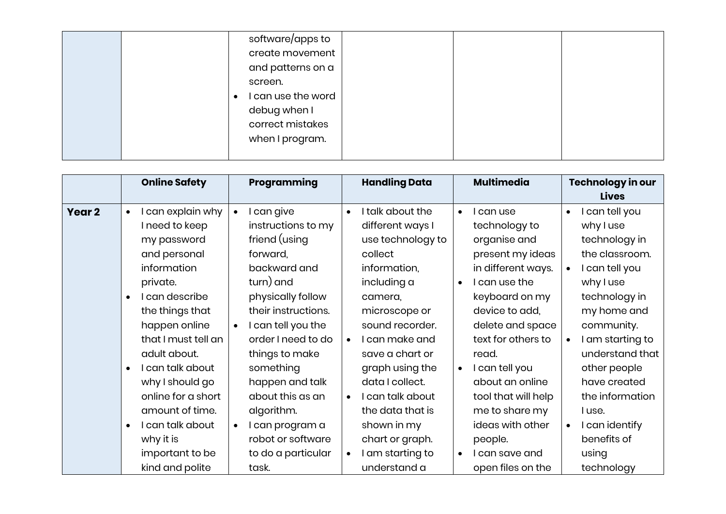|  | software/apps to<br>create movement<br>and patterns on a   |  |  |
|--|------------------------------------------------------------|--|--|
|  | screen.<br>I can use the word<br>$\bullet$<br>debug when I |  |  |
|  | correct mistakes<br>when I program.                        |  |  |

|        | <b>Online Safety</b>                                                                                                                                                                                                                                                                                                                                         | Programming                                                                                                                                                                                                                                                                                                                                                                          | <b>Handling Data</b>                                                                                                                                                                                                                                                                                                                                                                            | <b>Multimedia</b>                                                                                                                                                                                                                                                                                                                                                                              | Technology in our                                                                                                                                                                                                                                                                                                                    |
|--------|--------------------------------------------------------------------------------------------------------------------------------------------------------------------------------------------------------------------------------------------------------------------------------------------------------------------------------------------------------------|--------------------------------------------------------------------------------------------------------------------------------------------------------------------------------------------------------------------------------------------------------------------------------------------------------------------------------------------------------------------------------------|-------------------------------------------------------------------------------------------------------------------------------------------------------------------------------------------------------------------------------------------------------------------------------------------------------------------------------------------------------------------------------------------------|------------------------------------------------------------------------------------------------------------------------------------------------------------------------------------------------------------------------------------------------------------------------------------------------------------------------------------------------------------------------------------------------|--------------------------------------------------------------------------------------------------------------------------------------------------------------------------------------------------------------------------------------------------------------------------------------------------------------------------------------|
| Year 2 | can explain why<br>$\bullet$<br>I need to keep<br>my password<br>and personal<br>information<br>private.<br>I can describe<br>the things that<br>happen online<br>that I must tell an<br>adult about.<br>I can talk about<br>why I should go<br>online for a short<br>amount of time.<br>I can talk about<br>why it is<br>important to be<br>kind and polite | l can give<br>$\bullet$<br>instructions to my<br>friend (using<br>forward,<br>backward and<br>turn) and<br>physically follow<br>their instructions.<br>I can tell you the<br>$\bullet$<br>order I need to do<br>things to make<br>something<br>happen and talk<br>about this as an<br>algorithm.<br>l can program a<br>$\bullet$<br>robot or software<br>to do a particular<br>task. | I talk about the<br>$\bullet$<br>different ways I<br>use technology to<br>collect<br>information,<br>including a<br>camera,<br>microscope or<br>sound recorder.<br>I can make and<br>$\bullet$<br>save a chart or<br>graph using the<br>data I collect.<br>I can talk about<br>$\bullet$<br>the data that is<br>shown in my<br>chart or graph.<br>I am starting to<br>$\bullet$<br>understand a | can use<br>$\bullet$<br>technology to<br>organise and<br>present my ideas<br>in different ways.<br>can use the<br>$\bullet$<br>keyboard on my<br>device to add,<br>delete and space<br>text for others to<br>read.<br>can tell you<br>$\bullet$<br>about an online<br>tool that will help<br>me to share my<br>ideas with other<br>people.<br>I can save and<br>$\bullet$<br>open files on the | <b>Lives</b><br>I can tell you<br>$\bullet$<br>why I use<br>technology in<br>the classroom.<br>I can tell you<br>why I use<br>technology in<br>my home and<br>community.<br>I am starting to<br>understand that<br>other people<br>have created<br>the information<br>I use.<br>I can identify<br>benefits of<br>using<br>technology |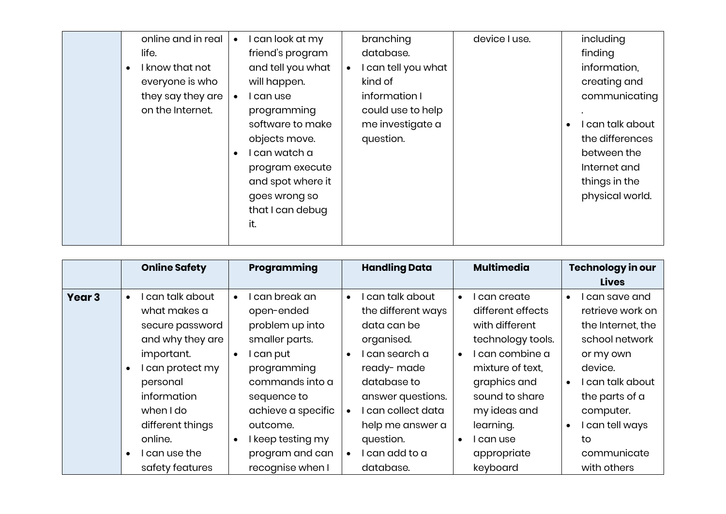| online and in real |           | can look at my    |           | branching           | device I use. | including        |
|--------------------|-----------|-------------------|-----------|---------------------|---------------|------------------|
|                    |           |                   |           |                     |               |                  |
| life.              |           | friend's program  |           | database.           |               | finding          |
| I know that not    |           | and tell you what | $\bullet$ | I can tell you what |               | information,     |
| everyone is who    |           | will happen.      |           | kind of             |               | creating and     |
| they say they are  |           | can use           |           | information I       |               | communicating    |
| on the Internet.   |           | programming       |           | could use to help   |               |                  |
|                    |           | software to make  |           | me investigate a    |               | I can talk about |
|                    |           | objects move.     |           | question.           |               | the differences  |
|                    | $\bullet$ | can watch a       |           |                     |               | between the      |
|                    |           | program execute   |           |                     |               | Internet and     |
|                    |           | and spot where it |           |                     |               | things in the    |
|                    |           | goes wrong so     |           |                     |               | physical world.  |
|                    |           | that I can debug  |           |                     |               |                  |
|                    |           | it.               |           |                     |               |                  |
|                    |           |                   |           |                     |               |                  |

|                   | <b>Online Safety</b>                                                               | Programming                                                                                             | <b>Handling Data</b>                                                                            | <b>Multimedia</b>                                                                   | Technology in our<br><b>Lives</b>                                                      |
|-------------------|------------------------------------------------------------------------------------|---------------------------------------------------------------------------------------------------------|-------------------------------------------------------------------------------------------------|-------------------------------------------------------------------------------------|----------------------------------------------------------------------------------------|
| Year <sub>3</sub> | can talk about<br>$\bullet$<br>what makes a<br>secure password<br>and why they are | can break an<br>$\bullet$<br>open-ended<br>problem up into<br>smaller parts.                            | can talk about<br>$\bullet$<br>the different ways<br>data can be<br>organised.                  | can create<br>$\bullet$<br>different effects<br>with different<br>technology tools. | l can save and<br>$\bullet$<br>retrieve work on<br>the Internet, the<br>school network |
|                   | important.<br>I can protect my<br>personal<br>information                          | I can put<br>$\bullet$<br>programming<br>commands into a<br>sequence to                                 | l can search a<br>$\bullet$<br>ready-made<br>database to<br>answer questions.                   | l can combine a<br>$\bullet$<br>mixture of text.<br>graphics and<br>sound to share  | or my own<br>device.<br>I can talk about<br>the parts of a                             |
|                   | when I do<br>different things<br>online.<br>l can use the<br>safety features       | achieve a specific<br>outcome.<br>I keep testing my<br>$\bullet$<br>program and can<br>recognise when I | l can collect data<br>help me answer a<br>question.<br>l can add to a<br>$\bullet$<br>database. | my ideas and<br>learning.<br>l can use<br>$\bullet$<br>appropriate<br>keyboard      | computer.<br>I can tell ways<br>to<br>communicate<br>with others                       |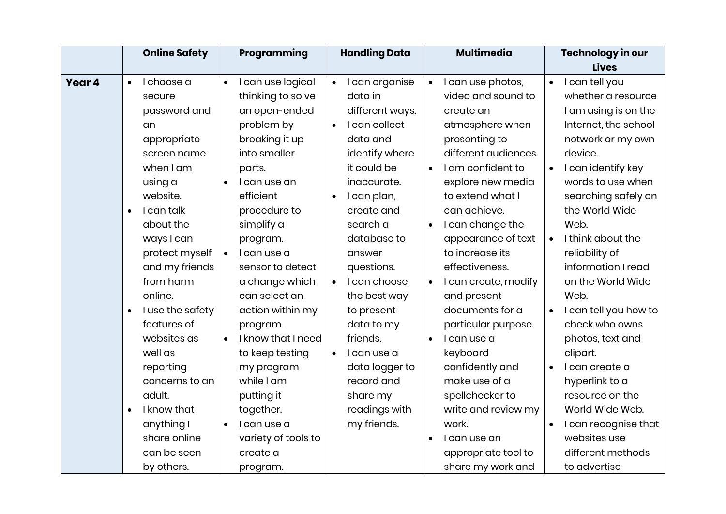|        |           | <b>Online Safety</b> |           | Programming         |           | <b>Handling Data</b> |           | <b>Multimedia</b>    |           | Technology in our     |
|--------|-----------|----------------------|-----------|---------------------|-----------|----------------------|-----------|----------------------|-----------|-----------------------|
|        |           |                      |           |                     |           |                      |           |                      |           | <b>Lives</b>          |
| Year 4 | $\bullet$ | I choose a           | $\bullet$ | I can use logical   | $\bullet$ | I can organise       | $\bullet$ | I can use photos,    | $\bullet$ | I can tell you        |
|        |           | secure               |           | thinking to solve   |           | data in              |           | video and sound to   |           | whether a resource    |
|        |           | password and         |           | an open-ended       |           | different ways.      |           | create an            |           | I am using is on the  |
|        |           | an                   |           | problem by          | $\bullet$ | I can collect        |           | atmosphere when      |           | Internet, the school  |
|        |           | appropriate          |           | breaking it up      |           | data and             |           | presenting to        |           | network or my own     |
|        |           | screen name          |           | into smaller        |           | identify where       |           | different audiences. |           | device.               |
|        |           | when I am            |           | parts.              |           | it could be          | $\bullet$ | I am confident to    | $\bullet$ | I can identify key    |
|        |           | using a              | $\bullet$ | I can use an        |           | inaccurate.          |           | explore new media    |           | words to use when     |
|        |           | website.             |           | efficient           | $\bullet$ | I can plan,          |           | to extend what I     |           | searching safely on   |
|        | $\bullet$ | I can talk           |           | procedure to        |           | create and           |           | can achieve.         |           | the World Wide        |
|        |           | about the            |           | simplify a          |           | search a             | $\bullet$ | I can change the     |           | Web.                  |
|        |           | ways I can           |           | program.            |           | database to          |           | appearance of text   | $\bullet$ | I think about the     |
|        |           | protect myself       | $\bullet$ | I can use a         |           | answer               |           | to increase its      |           | reliability of        |
|        |           | and my friends       |           | sensor to detect    |           | questions.           |           | effectiveness.       |           | information I read    |
|        |           | from harm            |           | a change which      | $\bullet$ | I can choose         | $\bullet$ | I can create, modify |           | on the World Wide     |
|        |           | online.              |           | can select an       |           | the best way         |           | and present          |           | Web.                  |
|        | $\bullet$ | I use the safety     |           | action within my    |           | to present           |           | documents for a      |           | I can tell you how to |
|        |           | features of          |           | program.            |           | data to my           |           | particular purpose.  |           | check who owns        |
|        |           | websites as          | $\bullet$ | I know that I need  |           | friends.             | $\bullet$ | I can use a          |           | photos, text and      |
|        |           | well as              |           | to keep testing     | $\bullet$ | I can use a          |           | keyboard             |           | clipart.              |
|        |           | reporting            |           | my program          |           | data logger to       |           | confidently and      | $\bullet$ | I can create a        |
|        |           | concerns to an       |           | while I am          |           | record and           |           | make use of a        |           | hyperlink to a        |
|        |           | adult.               |           | putting it          |           | share my             |           | spellchecker to      |           | resource on the       |
|        | $\bullet$ | I know that          |           | together.           |           | readings with        |           | write and review my  |           | World Wide Web.       |
|        |           | anything I           | $\bullet$ | I can use a         |           | my friends.          |           | work.                |           | I can recognise that  |
|        |           | share online         |           | variety of tools to |           |                      |           | I can use an         |           | websites use          |
|        |           | can be seen          |           | create a            |           |                      |           | appropriate tool to  |           | different methods     |
|        |           | by others.           |           | program.            |           |                      |           | share my work and    |           | to advertise          |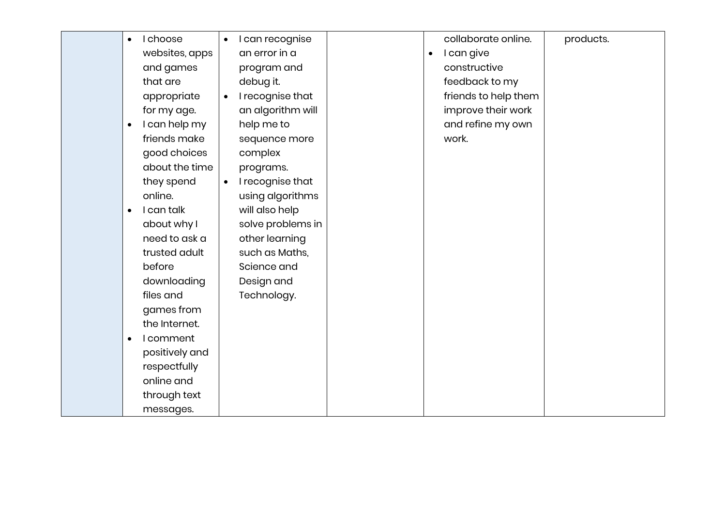| I choose<br>$\bullet$      | I can recognise<br>$\bullet$  |           | collaborate online.  | products. |
|----------------------------|-------------------------------|-----------|----------------------|-----------|
| websites, apps             | an error in a                 | $\bullet$ | I can give           |           |
| and games                  | program and                   |           | constructive         |           |
| that are                   | debug it.                     |           | feedback to my       |           |
| appropriate                | I recognise that<br>$\bullet$ |           | friends to help them |           |
| for my age.                | an algorithm will             |           | improve their work   |           |
| I can help my<br>$\bullet$ | help me to                    |           | and refine my own    |           |
| friends make               | sequence more                 |           | work.                |           |
| good choices               | complex                       |           |                      |           |
| about the time             | programs.                     |           |                      |           |
| they spend                 | I recognise that<br>$\bullet$ |           |                      |           |
| online.                    | using algorithms              |           |                      |           |
| I can talk<br>$\bullet$    | will also help                |           |                      |           |
| about why I                | solve problems in             |           |                      |           |
| need to ask a              | other learning                |           |                      |           |
| trusted adult              | such as Maths,                |           |                      |           |
| before                     | Science and                   |           |                      |           |
| downloading                | Design and                    |           |                      |           |
| files and                  | Technology.                   |           |                      |           |
| games from                 |                               |           |                      |           |
| the Internet.              |                               |           |                      |           |
| I comment<br>$\bullet$     |                               |           |                      |           |
| positively and             |                               |           |                      |           |
| respectfully               |                               |           |                      |           |
| online and                 |                               |           |                      |           |
| through text               |                               |           |                      |           |
| messages.                  |                               |           |                      |           |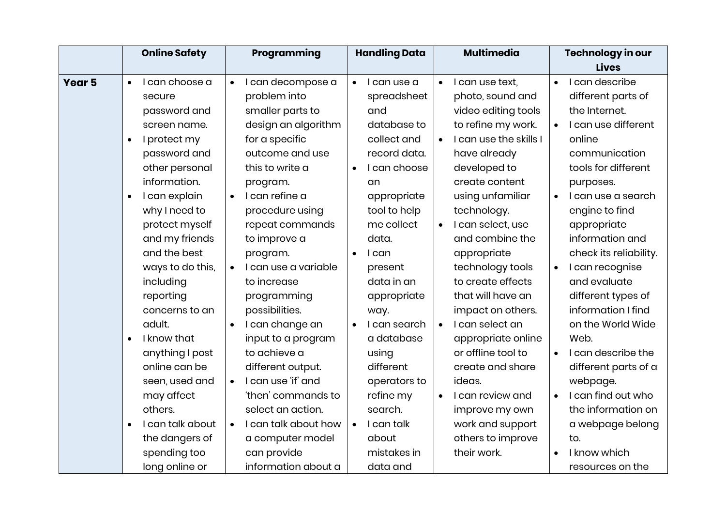|               |           | <b>Online Safety</b> |           | Programming          |           | <b>Handling Data</b> |           | <b>Multimedia</b>      |           | <b>Technology in our</b> |
|---------------|-----------|----------------------|-----------|----------------------|-----------|----------------------|-----------|------------------------|-----------|--------------------------|
|               |           |                      |           |                      |           |                      |           |                        |           | <b>Lives</b>             |
| <b>Year 5</b> | $\bullet$ | I can choose a       | $\bullet$ | I can decompose a    | $\bullet$ | I can use a          | $\bullet$ | I can use text,        | $\bullet$ | I can describe           |
|               |           | secure               |           | problem into         |           | spreadsheet          |           | photo, sound and       |           | different parts of       |
|               |           | password and         |           | smaller parts to     |           | and                  |           | video editing tools    |           | the Internet.            |
|               |           | screen name.         |           | design an algorithm  |           | database to          |           | to refine my work.     |           | I can use different      |
|               | $\bullet$ | I protect my         |           | for a specific       |           | collect and          | $\bullet$ | I can use the skills I |           | online                   |
|               |           | password and         |           | outcome and use      |           | record data.         |           | have already           |           | communication            |
|               |           | other personal       |           | this to write a      | $\bullet$ | I can choose         |           | developed to           |           | tools for different      |
|               |           | information.         |           | program.             |           | an                   |           | create content         |           | purposes.                |
|               | $\bullet$ | I can explain        | $\bullet$ | I can refine a       |           | appropriate          |           | using unfamiliar       | $\bullet$ | I can use a search       |
|               |           | why I need to        |           | procedure using      |           | tool to help         |           | technology.            |           | engine to find           |
|               |           | protect myself       |           | repeat commands      |           | me collect           | $\bullet$ | I can select, use      |           | appropriate              |
|               |           | and my friends       |           | to improve a         |           | data.                |           | and combine the        |           | information and          |
|               |           | and the best         |           | program.             | $\bullet$ | I can                |           | appropriate            |           | check its reliability.   |
|               |           | ways to do this,     |           | I can use a variable |           | present              |           | technology tools       | $\bullet$ | I can recognise          |
|               |           | including            |           | to increase          |           | data in an           |           | to create effects      |           | and evaluate             |
|               |           | reporting            |           | programming          |           | appropriate          |           | that will have an      |           | different types of       |
|               |           | concerns to an       |           | possibilities.       |           | way.                 |           | impact on others.      |           | information I find       |
|               |           | adult.               |           | I can change an      |           | I can search         |           | I can select an        |           | on the World Wide        |
|               |           | I know that          |           | input to a program   |           | a database           |           | appropriate online     |           | Web.                     |
|               |           | anything I post      |           | to achieve a         |           | using                |           | or offline tool to     | $\bullet$ | I can describe the       |
|               |           | online can be        |           | different output.    |           | different            |           | create and share       |           | different parts of a     |
|               |           | seen, used and       | $\bullet$ | I can use 'if' and   |           | operators to         |           | ideas.                 |           | webpage.                 |
|               |           | may affect           |           | 'then' commands to   |           | refine my            |           | I can review and       |           | I can find out who       |
|               |           | others.              |           | select an action.    |           | search.              |           | improve my own         |           | the information on       |
|               |           | I can talk about     | $\bullet$ | I can talk about how | $\bullet$ | I can talk           |           | work and support       |           | a webpage belong         |
|               |           | the dangers of       |           | a computer model     |           | about                |           | others to improve      |           | to.                      |
|               |           | spending too         |           | can provide          |           | mistakes in          |           | their work.            |           | I know which             |
|               |           | long online or       |           | information about a  |           | data and             |           |                        |           | resources on the         |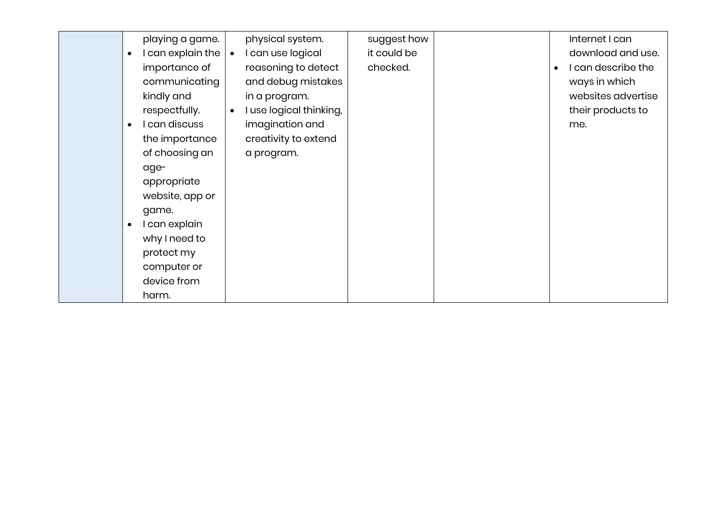| $\bullet$<br>$\bullet$ | playing a game.<br>I can explain the<br>importance of<br>communicating<br>kindly and<br>respectfully.<br>I can discuss<br>the importance<br>of choosing an | physical system.<br>I can use logical<br>reasoning to detect<br>and debug mistakes<br>in a program.<br>I use logical thinking,<br>imagination and<br>creativity to extend<br>a program. | suggest how<br>it could be<br>checked. |  | Internet I can<br>download and use.<br>I can describe the<br>ways in which<br>websites advertise<br>their products to<br>me. |
|------------------------|------------------------------------------------------------------------------------------------------------------------------------------------------------|-----------------------------------------------------------------------------------------------------------------------------------------------------------------------------------------|----------------------------------------|--|------------------------------------------------------------------------------------------------------------------------------|
| $\bullet$              | age-<br>appropriate<br>website, app or<br>game.<br>I can explain<br>why I need to<br>protect my<br>computer or<br>device from<br>harm.                     |                                                                                                                                                                                         |                                        |  |                                                                                                                              |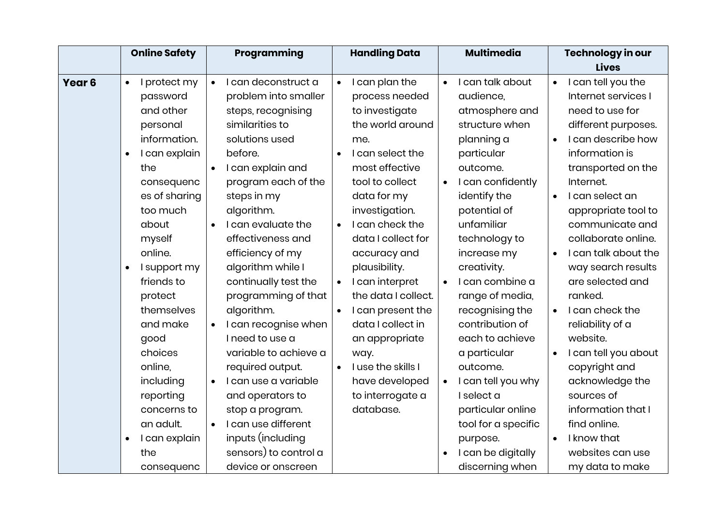|                   | <b>Online Safety</b>       | Programming                      | <b>Handling Data</b>            | <b>Multimedia</b>               | Technology in our                 |
|-------------------|----------------------------|----------------------------------|---------------------------------|---------------------------------|-----------------------------------|
|                   |                            |                                  |                                 |                                 | <b>Lives</b>                      |
| Year <sub>6</sub> | I protect my<br>$\bullet$  | I can deconstruct a<br>$\bullet$ | I can plan the<br>$\bullet$     | I can talk about<br>$\bullet$   | I can tell you the<br>$\bullet$   |
|                   | password                   | problem into smaller             | process needed                  | audience,                       | Internet services I               |
|                   | and other                  | steps, recognising               | to investigate                  | atmosphere and                  | need to use for                   |
|                   | personal                   | similarities to                  | the world around                | structure when                  | different purposes.               |
|                   | information.               | solutions used                   | me.                             | planning a                      | I can describe how<br>$\bullet$   |
|                   | I can explain<br>$\bullet$ | before.                          | I can select the                | particular                      | information is                    |
|                   | the                        | I can explain and<br>$\bullet$   | most effective                  | outcome.                        | transported on the                |
|                   | consequenc                 | program each of the              | tool to collect                 | I can confidently<br>$\bullet$  | Internet.                         |
|                   | es of sharing              | steps in my                      | data for my                     | identify the                    | I can select an<br>$\bullet$      |
|                   | too much                   | algorithm.                       | investigation.                  | potential of                    | appropriate tool to               |
|                   | about                      | I can evaluate the<br>$\bullet$  | I can check the<br>$\bullet$    | unfamiliar                      | communicate and                   |
|                   | myself                     | effectiveness and                | data I collect for              | technology to                   | collaborate online.               |
|                   | online.                    | efficiency of my                 | accuracy and                    | increase my                     | I can talk about the<br>$\bullet$ |
|                   | I support my<br>$\bullet$  | algorithm while I                | plausibility.                   | creativity.                     | way search results                |
|                   | friends to                 | continually test the             | I can interpret<br>$\bullet$    | I can combine a<br>$\bullet$    | are selected and                  |
|                   | protect                    | programming of that              | the data I collect.             | range of media,                 | ranked.                           |
|                   | themselves                 | algorithm.                       | I can present the<br>$\bullet$  | recognising the                 | I can check the<br>$\bullet$      |
|                   | and make                   | I can recognise when             | data I collect in               | contribution of                 | reliability of a                  |
|                   | good                       | I need to use a                  | an appropriate                  | each to achieve                 | website.                          |
|                   | choices                    | variable to achieve a            | way.                            | a particular                    | I can tell you about              |
|                   | online,                    | required output.                 | I use the skills I<br>$\bullet$ | outcome.                        | copyright and                     |
|                   | including                  | I can use a variable             | have developed                  | I can tell you why<br>$\bullet$ | acknowledge the                   |
|                   | reporting                  | and operators to                 | to interrogate a                | I select a                      | sources of                        |
|                   | concerns to                | stop a program.                  | database.                       | particular online               | information that I                |
|                   | an adult.                  | I can use different<br>$\bullet$ |                                 | tool for a specific             | find online.                      |
|                   | I can explain<br>$\bullet$ | inputs (including                |                                 | purpose.                        | I know that                       |
|                   | the                        | sensors) to control a            |                                 | I can be digitally              | websites can use                  |
|                   | consequenc                 | device or onscreen               |                                 | discerning when                 | my data to make                   |